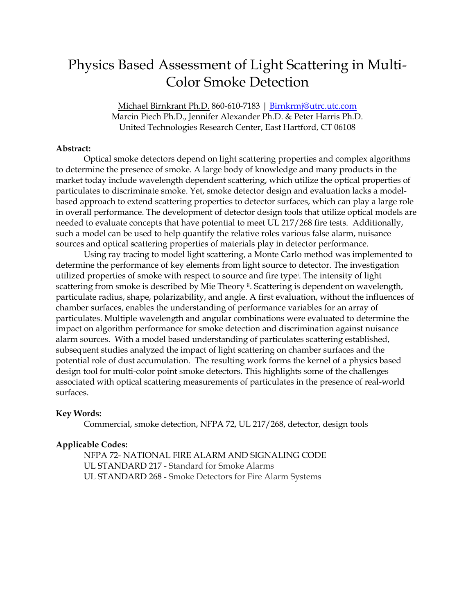# Physics Based Assessment of Light Scattering in Multi-Color Smoke Detection

Michael Birnkrant Ph.D. 860-610-7183 | [Birnkrmj@utrc.utc.com](mailto:Birnkrmj@utrc.utc.com) Marcin Piech Ph.D., Jennifer Alexander Ph.D. & Peter Harris Ph.D. United Technologies Research Center, East Hartford, CT 06108

#### **Abstract:**

Optical smoke detectors depend on light scattering properties and complex algorithms to determine the presence of smoke. A large body of knowledge and many products in the market today include wavelength dependent scattering, which utilize the optical properties of particulates to discriminate smoke. Yet, smoke detector design and evaluation lacks a modelbased approach to extend scattering properties to detector surfaces, which can play a large role in overall performance. The development of detector design tools that utilize optical models are needed to evaluate concepts that have potential to meet UL 217/268 fire tests. Additionally, such a model can be used to help quantify the relative roles various false alarm, nuisance sources and optical scattering properties of materials play in detector performance.

Using ray tracing to model light scattering, a Monte Carlo method was implemented to determine the performance of key elements from light source to detector. The investigation utilized properties of smoke with respect to source and fire type<sup>i</sup> . The intensity of light scattering from smoke is described by Mie Theory <sup>ii</sup>. Scattering is dependent on wavelength, particulate radius, shape, polarizability, and angle. A first evaluation, without the influences of chamber surfaces, enables the understanding of performance variables for an array of particulates. Multiple wavelength and angular combinations were evaluated to determine the impact on algorithm performance for smoke detection and discrimination against nuisance alarm sources. With a model based understanding of particulates scattering established, subsequent studies analyzed the impact of light scattering on chamber surfaces and the potential role of dust accumulation. The resulting work forms the kernel of a physics based design tool for multi-color point smoke detectors. This highlights some of the challenges associated with optical scattering measurements of particulates in the presence of real-world surfaces.

#### **Key Words:**

Commercial, smoke detection, NFPA 72, UL 217/268, detector, design tools

#### **Applicable Codes:**

NFPA 72- NATIONAL FIRE ALARM AND SIGNALING CODE UL STANDARD 217 - Standard for Smoke Alarms UL STANDARD 268 - Smoke Detectors for Fire Alarm Systems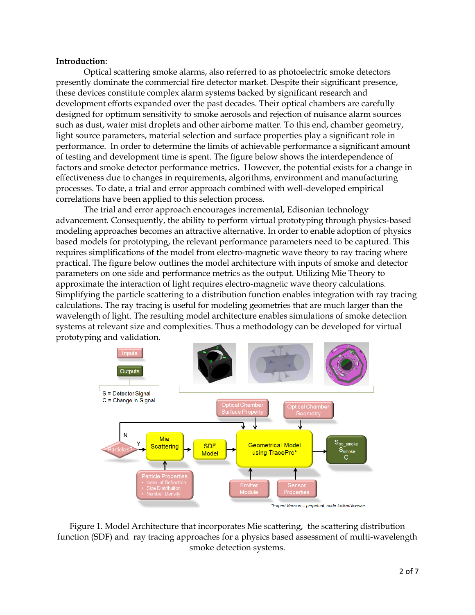#### **Introduction**:

Optical scattering smoke alarms, also referred to as photoelectric smoke detectors presently dominate the commercial fire detector market. Despite their significant presence, these devices constitute complex alarm systems backed by significant research and development efforts expanded over the past decades. Their optical chambers are carefully designed for optimum sensitivity to smoke aerosols and rejection of nuisance alarm sources such as dust, water mist droplets and other airborne matter. To this end, chamber geometry, light source parameters, material selection and surface properties play a significant role in performance. In order to determine the limits of achievable performance a significant amount of testing and development time is spent. The figure below shows the interdependence of factors and smoke detector performance metrics. However, the potential exists for a change in effectiveness due to changes in requirements, algorithms, environment and manufacturing processes. To date, a trial and error approach combined with well-developed empirical correlations have been applied to this selection process.

The trial and error approach encourages incremental, Edisonian technology advancement. Consequently, the ability to perform virtual prototyping through physics-based modeling approaches becomes an attractive alternative. In order to enable adoption of physics based models for prototyping, the relevant performance parameters need to be captured. This requires simplifications of the model from electro-magnetic wave theory to ray tracing where practical. The figure below outlines the model architecture with inputs of smoke and detector parameters on one side and performance metrics as the output. Utilizing Mie Theory to approximate the interaction of light requires electro-magnetic wave theory calculations. Simplifying the particle scattering to a distribution function enables integration with ray tracing calculations. The ray tracing is useful for modeling geometries that are much larger than the wavelength of light. The resulting model architecture enables simulations of smoke detection systems at relevant size and complexities. Thus a methodology can be developed for virtual prototyping and validation.



Figure 1. Model Architecture that incorporates Mie scattering, the scattering distribution function (SDF) and ray tracing approaches for a physics based assessment of multi-wavelength smoke detection systems.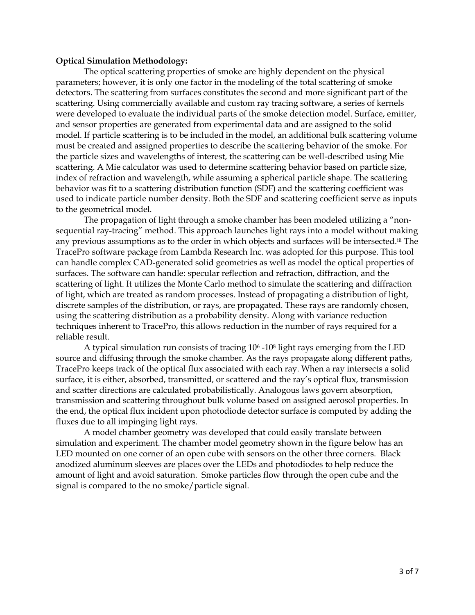#### **Optical Simulation Methodology:**

The optical scattering properties of smoke are highly dependent on the physical parameters; however, it is only one factor in the modeling of the total scattering of smoke detectors. The scattering from surfaces constitutes the second and more significant part of the scattering. Using commercially available and custom ray tracing software, a series of kernels were developed to evaluate the individual parts of the smoke detection model. Surface, emitter, and sensor properties are generated from experimental data and are assigned to the solid model. If particle scattering is to be included in the model, an additional bulk scattering volume must be created and assigned properties to describe the scattering behavior of the smoke. For the particle sizes and wavelengths of interest, the scattering can be well-described using Mie scattering. A Mie calculator was used to determine scattering behavior based on particle size, index of refraction and wavelength, while assuming a spherical particle shape. The scattering behavior was fit to a scattering distribution function (SDF) and the scattering coefficient was used to indicate particle number density. Both the SDF and scattering coefficient serve as inputs to the geometrical model.

The propagation of light through a smoke chamber has been modeled utilizing a "nonsequential ray-tracing" method. This approach launches light rays into a model without making any previous assumptions as to the order in which objects and surfaces will be intersected.iii The TracePro software package from Lambda Research Inc. was adopted for this purpose. This tool can handle complex CAD-generated solid geometries as well as model the optical properties of surfaces. The software can handle: specular reflection and refraction, diffraction, and the scattering of light. It utilizes the Monte Carlo method to simulate the scattering and diffraction of light, which are treated as random processes. Instead of propagating a distribution of light, discrete samples of the distribution, or rays, are propagated. These rays are randomly chosen, using the scattering distribution as a probability density. Along with variance reduction techniques inherent to TracePro, this allows reduction in the number of rays required for a reliable result.

A typical simulation run consists of tracing 10<sup>6</sup> -10<sup>8</sup> light rays emerging from the LED source and diffusing through the smoke chamber. As the rays propagate along different paths, TracePro keeps track of the optical flux associated with each ray. When a ray intersects a solid surface, it is either, absorbed, transmitted, or scattered and the ray's optical flux, transmission and scatter directions are calculated probabilistically. Analogous laws govern absorption, transmission and scattering throughout bulk volume based on assigned aerosol properties. In the end, the optical flux incident upon photodiode detector surface is computed by adding the fluxes due to all impinging light rays.

A model chamber geometry was developed that could easily translate between simulation and experiment. The chamber model geometry shown in the figure below has an LED mounted on one corner of an open cube with sensors on the other three corners. Black anodized aluminum sleeves are places over the LEDs and photodiodes to help reduce the amount of light and avoid saturation. Smoke particles flow through the open cube and the signal is compared to the no smoke/particle signal.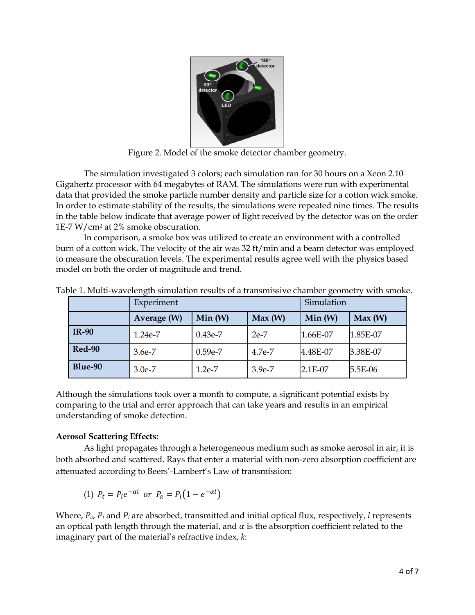

Figure 2. Model of the smoke detector chamber geometry.

The simulation investigated 3 colors; each simulation ran for 30 hours on a Xeon 2.10 Gigahertz processor with 64 megabytes of RAM. The simulations were run with experimental data that provided the smoke particle number density and particle size for a cotton wick smoke. In order to estimate stability of the results, the simulations were repeated nine times. The results in the table below indicate that average power of light received by the detector was on the order 1E-7 W/cm<sup>2</sup> at 2% smoke obscuration.

In comparison, a smoke box was utilized to create an environment with a controlled burn of a cotton wick. The velocity of the air was 32 ft/min and a beam detector was employed to measure the obscuration levels. The experimental results agree well with the physics based model on both the order of magnitude and trend.

|               | Experiment  |           |          | Simulation |          |
|---------------|-------------|-----------|----------|------------|----------|
|               | Average (W) | Min(W)    | Max(W)   | Min(W)     | Max(W)   |
| <b>IR-90</b>  | 1.24e-7     | $0.43e-7$ | $2e-7$   | 1.66E-07   | 1.85E-07 |
| <b>Red-90</b> | 3.6e-7      | $0.59e-7$ | 4.7e-7   | 4.48E-07   | 3.38E-07 |
| Blue-90       | $3.0e-7$    | $1.2e-7$  | $3.9e-7$ | $2.1E-07$  | 5.5E-06  |

Table 1. Multi-wavelength simulation results of a transmissive chamber geometry with smoke.

Although the simulations took over a month to compute, a significant potential exists by comparing to the trial and error approach that can take years and results in an empirical understanding of smoke detection.

## **Aerosol Scattering Effects:**

As light propagates through a heterogeneous medium such as smoke aerosol in air, it is both absorbed and scattered. Rays that enter a material with non-zero absorption coefficient are attenuated according to Beers'-Lambert's Law of transmission:

(1)  $P_t = P_i e^{-\alpha l}$  or  $P_a = P_i (1 - e^{-\alpha l})$ 

Where, *Pa*, *P<sup>t</sup>* and *P<sup>i</sup>* are absorbed, transmitted and initial optical flux, respectively, *l* represents an optical path length through the material, and  $\alpha$  is the absorption coefficient related to the imaginary part of the material's refractive index, *k*: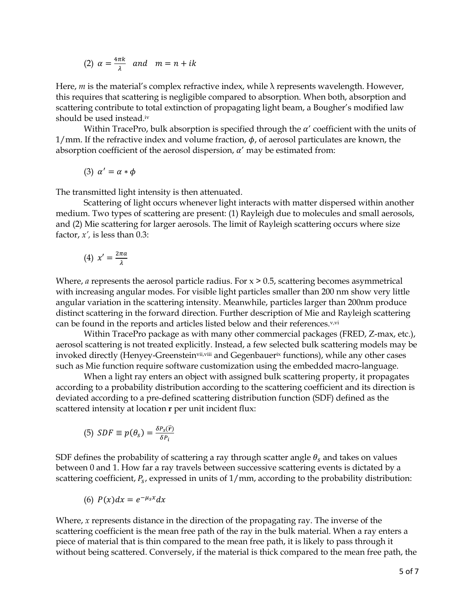(2) 
$$
\alpha = \frac{4\pi k}{\lambda}
$$
 and  $m = n + ik$ 

Here,  $m$  is the material's complex refractive index, while  $\lambda$  represents wavelength. However, this requires that scattering is negligible compared to absorption. When both, absorption and scattering contribute to total extinction of propagating light beam, a Bougher's modified law should be used instead.iv

Within TracePro, bulk absorption is specified through the  $\alpha'$  coefficient with the units of  $1/mm$ . If the refractive index and volume fraction,  $\phi$ , of aerosol particulates are known, the absorption coefficient of the aerosol dispersion,  $\alpha'$  may be estimated from:

$$
(3) \ \alpha' = \alpha * \phi
$$

The transmitted light intensity is then attenuated.

Scattering of light occurs whenever light interacts with matter dispersed within another medium. Two types of scattering are present: (1) Rayleigh due to molecules and small aerosols, and (2) Mie scattering for larger aerosols. The limit of Rayleigh scattering occurs where size factor, *x',* is less than 0.3:

$$
(4) \ \ x' = \frac{2\pi a}{\lambda}
$$

Where, *a* represents the aerosol particle radius. For  $x > 0.5$ , scattering becomes asymmetrical with increasing angular modes. For visible light particles smaller than 200 nm show very little angular variation in the scattering intensity. Meanwhile, particles larger than 200nm produce distinct scattering in the forward direction. Further description of Mie and Rayleigh scattering can be found in the reports and articles listed below and their references.<sup>v,vi</sup>

Within TracePro package as with many other commercial packages (FRED, Z-max, etc.), aerosol scattering is not treated explicitly. Instead, a few selected bulk scattering models may be invoked directly (Henyey-Greensteinvii,viii and Gegenbauerix functions), while any other cases such as Mie function require software customization using the embedded macro-language.

When a light ray enters an object with assigned bulk scattering property, it propagates according to a probability distribution according to the scattering coefficient and its direction is deviated according to a pre-defined scattering distribution function (SDF) defined as the scattered intensity at location **r** per unit incident flux:

(5) 
$$
SDF \equiv p(\theta_s) = \frac{\delta P_s(\vec{r})}{\delta P_i}
$$

SDF defines the probability of scattering a ray through scatter angle  $\theta_s$  and takes on values between 0 and 1. How far a ray travels between successive scattering events is dictated by a scattering coefficient,  $P_{\rm s}$ , expressed in units of  $1/\text{mm}$ , according to the probability distribution:

$$
(6) P(x)dx = e^{-\mu_s x}dx
$$

Where, *x* represents distance in the direction of the propagating ray. The inverse of the scattering coefficient is the mean free path of the ray in the bulk material. When a ray enters a piece of material that is thin compared to the mean free path, it is likely to pass through it without being scattered. Conversely, if the material is thick compared to the mean free path, the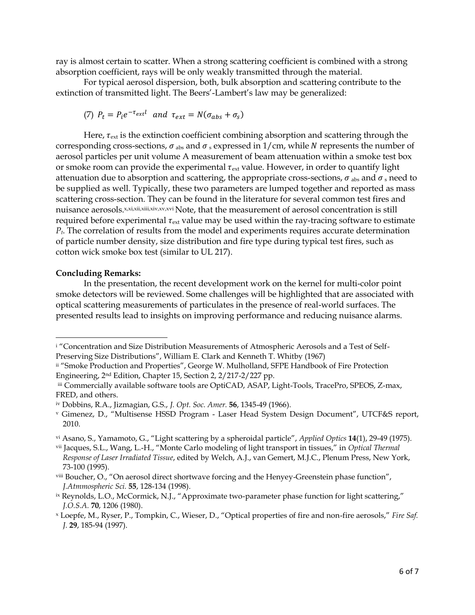ray is almost certain to scatter. When a strong scattering coefficient is combined with a strong absorption coefficient, rays will be only weakly transmitted through the material.

For typical aerosol dispersion, both, bulk absorption and scattering contribute to the extinction of transmitted light. The Beers'-Lambert's law may be generalized:

(7) 
$$
P_t = P_t e^{-\tau_{ext}t}
$$
 and  $\tau_{ext} = N(\sigma_{abs} + \sigma_s)$ 

Here,  $\tau_{\text{ext}}$  is the extinction coefficient combining absorption and scattering through the corresponding cross-sections,  $\sigma$ <sub>abs</sub> and  $\sigma$ <sub>s</sub> expressed in 1/cm, while N represents the number of aerosol particles per unit volume A measurement of beam attenuation within a smoke test box or smoke room can provide the experimental  $\tau_{ext}$  value. However, in order to quantify light attenuation due to absorption and scattering, the appropriate cross-sections,  $\sigma$ <sub>abs</sub> and  $\sigma$ <sub>s</sub> need to be supplied as well. Typically, these two parameters are lumped together and reported as mass scattering cross-section. They can be found in the literature for several common test fires and nuisance aerosols.x,xi,xii,xii,xiv,xv,xvi Note, that the measurement of aerosol concentration is still required before experimental  $\tau_{ext}$  value may be used within the ray-tracing software to estimate *Pt*. The correlation of results from the model and experiments requires accurate determination of particle number density, size distribution and fire type during typical test fires, such as cotton wick smoke box test (similar to UL 217).

### **Concluding Remarks:**

 $\overline{\phantom{a}}$ 

In the presentation, the recent development work on the kernel for multi-color point smoke detectors will be reviewed. Some challenges will be highlighted that are associated with optical scattering measurements of particulates in the presence of real-world surfaces. The presented results lead to insights on improving performance and reducing nuisance alarms.

i "Concentration and Size Distribution Measurements of Atmospheric Aerosols and a Test of Self-Preserving Size Distributions", William E. Clark and Kenneth T. Whitby (1967)

ii "Smoke Production and Properties", George W. Mulholland, SFPE Handbook of Fire Protection Engineering, 2nd Edition, Chapter 15, Section 2, 2/217-2/227 pp.

iii Commercially available software tools are OptiCAD, ASAP, Light-Tools, TracePro, SPEOS, Z-max, FRED, and others.

iv Dobbins, R.A., Jizmagian, G.S., *J. Opt. Soc. Amer.* **56**, 1345-49 (1966).

<sup>v</sup> Gimenez, D., "Multisense HSSD Program - Laser Head System Design Document", UTCF&S report, 2010.

vi Asano, S., Yamamoto, G., "Light scattering by a spheroidal particle", *Applied Optics* **14**(1), 29-49 (1975).

vii Jacques, S.L., Wang, L.-H., "Monte Carlo modeling of light transport in tissues," in *Optical Thermal Response of Laser Irradiated Tissue*, edited by Welch, A.J., van Gemert, M.J.C., Plenum Press, New York, 73-100 (1995).

viii Boucher, O., "On aerosol direct shortwave forcing and the Henyey-Greenstein phase function", *J.Atmmospheric Sci.* **55**, 128-134 (1998).

ix Reynolds, L.O., McCormick, N.J., "Approximate two-parameter phase function for light scattering," *J.O.S.A.* **70**, 1206 (1980).

<sup>x</sup> Loepfe, M., Ryser, P., Tompkin, C., Wieser, D., "Optical properties of fire and non-fire aerosols," *Fire Saf. J.* **29**, 185-94 (1997).